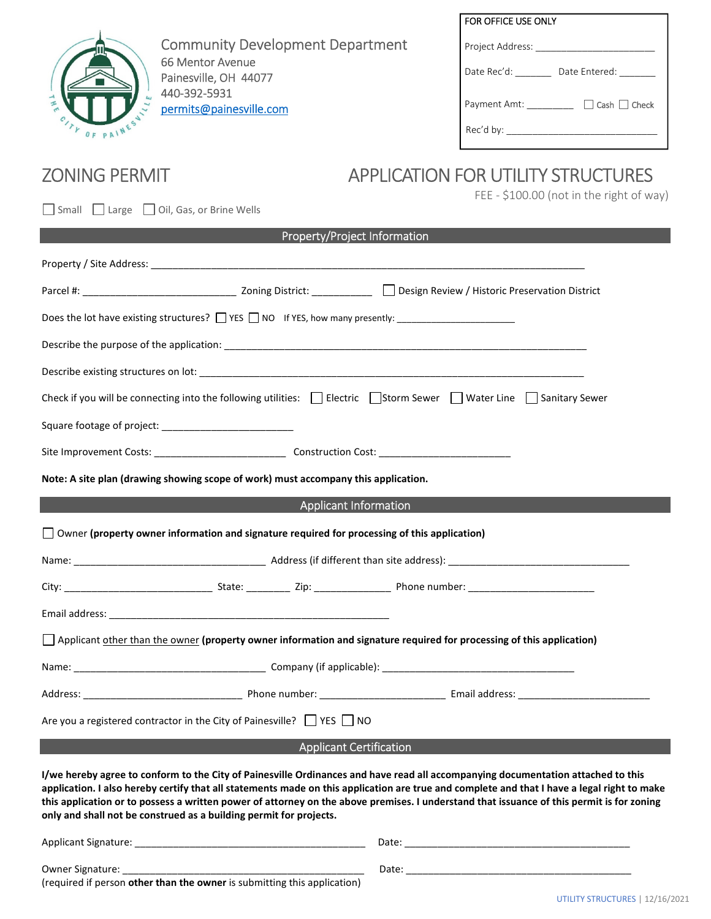

Community Development Department 66 Mentor Avenue Painesville, OH 44077 440-392-5931 permits@painesville.com

|  | <b>FOR OFFICE USE ONLY</b> |  |
|--|----------------------------|--|
|--|----------------------------|--|

| Project Address: |  |
|------------------|--|
|                  |  |

Date Rec'd: \_\_\_\_\_\_\_\_\_\_ Date Entered: \_\_\_\_\_

Payment Amt: \_\_\_\_\_\_\_\_\_\_ □ Cash □ Check

Rec'd by: \_\_\_\_\_\_\_\_\_\_\_\_\_\_\_\_\_\_\_\_\_\_\_\_\_\_\_\_\_

# ZONING PERMIT APPLICATION FOR UTILITY STRUCTURES

Small Large Oil, Gas, or Brine Wells

# FEE - \$100.00 (not in the right of way)

| Property/Project Information |  |
|------------------------------|--|
|------------------------------|--|

| Does the lot have existing structures? THE RIS TRIM IF YES, how many presently:                                                                                                                                                                                                                                                                                                                                                                                                                    |  |                              |  |  |  |
|----------------------------------------------------------------------------------------------------------------------------------------------------------------------------------------------------------------------------------------------------------------------------------------------------------------------------------------------------------------------------------------------------------------------------------------------------------------------------------------------------|--|------------------------------|--|--|--|
|                                                                                                                                                                                                                                                                                                                                                                                                                                                                                                    |  |                              |  |  |  |
|                                                                                                                                                                                                                                                                                                                                                                                                                                                                                                    |  |                              |  |  |  |
| Check if you will be connecting into the following utilities: $\Box$ Electric $\Box$ Storm Sewer $\Box$ Water Line $\Box$ Sanitary Sewer                                                                                                                                                                                                                                                                                                                                                           |  |                              |  |  |  |
|                                                                                                                                                                                                                                                                                                                                                                                                                                                                                                    |  |                              |  |  |  |
|                                                                                                                                                                                                                                                                                                                                                                                                                                                                                                    |  |                              |  |  |  |
| Note: A site plan (drawing showing scope of work) must accompany this application.                                                                                                                                                                                                                                                                                                                                                                                                                 |  |                              |  |  |  |
|                                                                                                                                                                                                                                                                                                                                                                                                                                                                                                    |  | <b>Applicant Information</b> |  |  |  |
| $\Box$ Owner (property owner information and signature required for processing of this application)                                                                                                                                                                                                                                                                                                                                                                                                |  |                              |  |  |  |
|                                                                                                                                                                                                                                                                                                                                                                                                                                                                                                    |  |                              |  |  |  |
|                                                                                                                                                                                                                                                                                                                                                                                                                                                                                                    |  |                              |  |  |  |
|                                                                                                                                                                                                                                                                                                                                                                                                                                                                                                    |  |                              |  |  |  |
| Applicant other than the owner (property owner information and signature required for processing of this application)                                                                                                                                                                                                                                                                                                                                                                              |  |                              |  |  |  |
|                                                                                                                                                                                                                                                                                                                                                                                                                                                                                                    |  |                              |  |  |  |
|                                                                                                                                                                                                                                                                                                                                                                                                                                                                                                    |  |                              |  |  |  |
| Are you a registered contractor in the City of Painesville? $\Box$ YES $\Box$ NO                                                                                                                                                                                                                                                                                                                                                                                                                   |  |                              |  |  |  |
| <b>Applicant Certification</b>                                                                                                                                                                                                                                                                                                                                                                                                                                                                     |  |                              |  |  |  |
| I/we hereby agree to conform to the City of Painesville Ordinances and have read all accompanying documentation attached to this<br>application. I also hereby certify that all statements made on this application are true and complete and that I have a legal right to make<br>this application or to possess a written power of attorney on the above premises. I understand that issuance of this permit is for zoning<br>only and shall not be construed as a building permit for projects. |  |                              |  |  |  |
|                                                                                                                                                                                                                                                                                                                                                                                                                                                                                                    |  |                              |  |  |  |

Owner Signature: \_\_\_\_\_\_\_\_\_\_\_\_\_\_\_\_\_\_\_\_\_\_\_\_\_\_\_\_\_\_\_\_\_\_\_\_\_\_\_\_\_\_\_\_ Date: \_\_\_\_\_\_\_\_\_\_\_\_\_\_\_\_\_\_\_\_\_\_\_\_\_\_\_\_\_\_\_\_\_\_\_\_\_\_\_\_\_ (required if person **other than the owner** is submitting this application)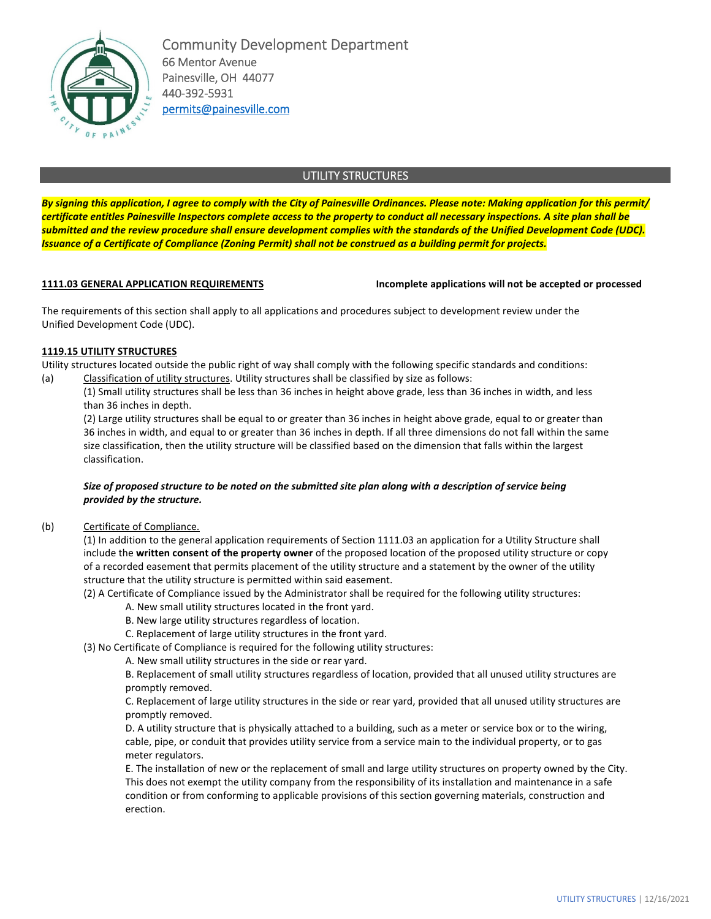

Community Development Department 66 Mentor Avenue Painesville, OH 44077 440-392-5931 permits@painesville.com

## UTILITY STRUCTURES

*By signing this application, I agree to comply with the City of Painesville Ordinances. Please note: Making application for this permit/ certificate entitles Painesville Inspectors complete access to the property to conduct all necessary inspections. A site plan shall be submitted and the review procedure shall ensure development complies with the standards of the Unified Development Code (UDC). Issuance of a Certificate of Compliance (Zoning Permit) shall not be construed as a building permit for projects.* 

**1111.03 GENERAL APPLICATION REQUIREMENTS Incomplete applications will not be accepted or processed**

The requirements of this section shall apply to all applications and procedures subject to development review under the Unified Development Code (UDC).

### **1119.15 UTILITY STRUCTURES**

Utility structures located outside the public right of way shall comply with the following specific standards and conditions: (a) Classification of utility structures. Utility structures shall be classified by size as follows:

(1) Small utility structures shall be less than 36 inches in height above grade, less than 36 inches in width, and less than 36 inches in depth.

(2) Large utility structures shall be equal to or greater than 36 inches in height above grade, equal to or greater than 36 inches in width, and equal to or greater than 36 inches in depth. If all three dimensions do not fall within the same size classification, then the utility structure will be classified based on the dimension that falls within the largest classification.

#### *Size of proposed structure to be noted on the submitted site plan along with a description of service being provided by the structure.*

#### (b) Certificate of Compliance.

(1) In addition to the general application requirements of Section 1111.03 an application for a Utility Structure shall include the **written consent of the property owner** of the proposed location of the proposed utility structure or copy of a recorded easement that permits placement of the utility structure and a statement by the owner of the utility structure that the utility structure is permitted within said easement.

(2) A Certificate of Compliance issued by the Administrator shall be required for the following utility structures:

- A. New small utility structures located in the front yard.
- B. New large utility structures regardless of location.
- C. Replacement of large utility structures in the front yard.

(3) No Certificate of Compliance is required for the following utility structures:

A. New small utility structures in the side or rear yard.

B. Replacement of small utility structures regardless of location, provided that all unused utility structures are promptly removed.

C. Replacement of large utility structures in the side or rear yard, provided that all unused utility structures are promptly removed.

D. A utility structure that is physically attached to a building, such as a meter or service box or to the wiring, cable, pipe, or conduit that provides utility service from a service main to the individual property, or to gas meter regulators.

E. The installation of new or the replacement of small and large utility structures on property owned by the City. This does not exempt the utility company from the responsibility of its installation and maintenance in a safe condition or from conforming to applicable provisions of this section governing materials, construction and erection.